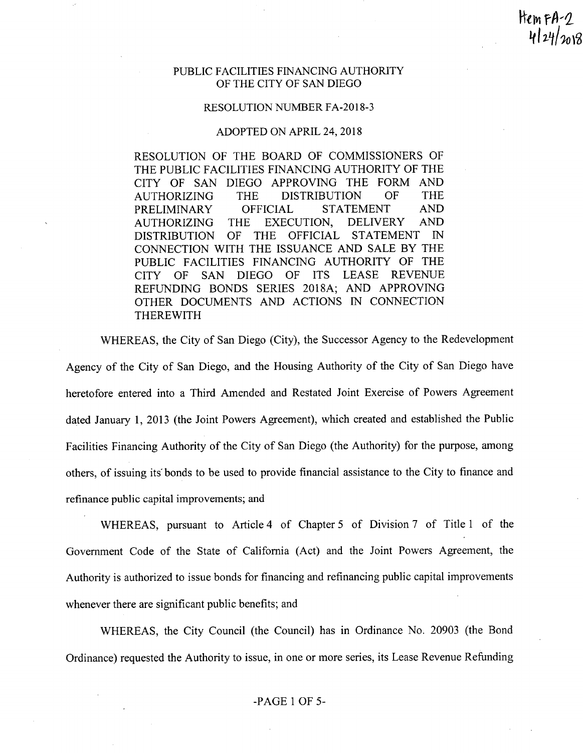PUBLIC FACILITIES FINANCING AUTHORITY OF THE CITY OF SAN DIEGO

Hem FA- $\eta$ 

 $424/a08$ 

## RESOLUTION NUMBER FA-2018-3

## ADOPTED ON APRIL 24,2018

RESOLUTION OF THE BOARD OF COMMISSIONERS OF THE PUBLIC FACILITIES FINANCING AUTHORITY OF THE CITY OF SAN DIEGO APPROVING THE FORM AND<br>AUTHORIZING THE DISTRIBUTION OF THE AUTHORIZING THE DISTRIBUTION OF THE<br>PRELIMINARY OFFICIAL STATEMENT AND PRELIMINARY OFFICIAL STATEMENT AND<br>AUTHORIZING THE EXECUTION, DELIVERY AND AUTHORIZING THE EXECUTION, DELIVERY AND DISTRIBUTION OF THE OFFICIAL STATEMENT IN CONNECTION WITH THE ISSUANCE AND SALE BY THE PUBLIC FACILITIES FINANCING AUTHORITY OF THE<br>CITY OF SAN DIEGO OF ITS LEASE REVENUE CITY OF SAN DIEGO OF ITS REFUNDING BONDS SERIES 20ISA; AND APPROVING OTHER DOCUMENTS AND ACTIONS IN CONNECTION THEREWITH

WHEREAS, the City of San Diego (City), the Successor Agency to the Redevelopment

Agency of the City of San Diego, and the Housing Authority of the City of San Diego have heretofore entered into a Third Amended and Restated Joint Exercise of Powers Agreement dated January I, 2013 (the Joint Powers Agreement), which created and established the Public Facilities Financing Authority of the City of San Diego (the Authority) for the purpose, among others, of issuing its' bonds to be used to provide financial assistance to the City to finance and refinance public capital improvements; and

WHEREAS, pursuant to Article 4 of Chapter 5 of Division 7 of Title 1 of the Government Code of the State of California (Act) and the Joint Powers Agreement, the Authority is authorized to issue bonds for financing and refinancing public capital improvements whenever there are significant public benefits; and

WHEREAS, the City Council (the Council) has in Ordinance No. 20903 (the Bond Ordinance) requested the Authority to issue, in one or more series, its Lease Revenue Refunding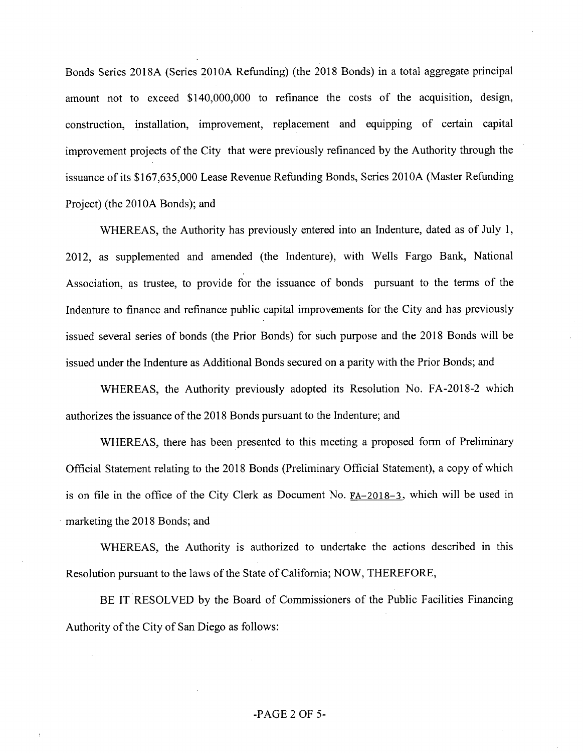Bonds Series 2018A (Series 201OA Refunding) (the 2018 Bonds) in a total aggregate principal amount not to exceed \$140,000,000 to refinance the costs of the acquisition, design, construction, installation, improvement, replacement and equipping of certain capital improvement projects of the City that were previously refinanced by the Authority through the issuance of its \$167,635,000 Lease Revenue Refunding Bonds, Series 2010A (Master Refunding Project) (the 2010A Bonds); and

WHEREAS, the Authority has previously entered into an Indenture, dated as of July 1, 2012, as supplemented and amended (the Indenture), with Wells Fargo Bank, National Association, as trustee, to provide for the issuance of bonds pursuant to the terms of the Indenture to finance and refinance public capital improvements for the City and has previously issued several series of bonds (the Prior Bonds) for such purpose and the 2018 Bonds will be issued under the Indenture as Additional Bonds secured on a parity with the Prior Bonds; and

WHEREAS, the Authority previously adopted its Resolution No. FA-2018-2 which authorizes the issuance of the 2018 Bonds pursuant to the Indenture; and

WHEREAS, there has been presented to this meeting a proposed form of Preliminary Official Statement relating to the 2018 Bonds (Preliminary Official Statement), a copy of which is on file in the office of the City Clerk as Document No. FA-2018-3, which will be used in marketing the 2018 Bonds; and

WHEREAS, the Authority is authorized to undertake the actions described in this Resolution pursuant to the laws of the State of California; NOW, THEREFORE,

BE IT RESOLVED by the Board of Commissioners of the Public Facilities Financing Authority of the City of San Diego as follows:

## -PAGE 2 OF 5-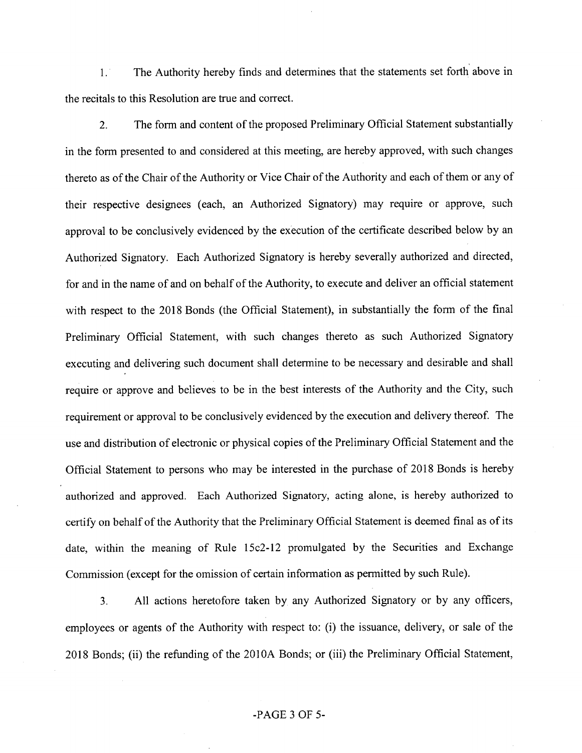1. The Authority hereby finds and determines that the statements set forth above in the reeitals to this Resolution are true and correct.

2. The form and content of the proposed Preliminary Official Statement substantially in the form presented to and considered at this meeting, are hereby approved, with such changes thereto as of the Chair of the Authority or Vice Chair of the Authority and each of them or any of their respective designees (each, an Authorized Signatory) may require or approve, such approval to be conclusively evidenced by the execution of the certificate described below by an Authorized Signatory. Each Authorized Signatory is hereby severally authorized and directed, for and in the name of and on behalf of the Authority, to execute and deliver an official statement with respect to the 2018 Bonds (the Official Statement), in substantially the form of the final Preliminary Official Statement, with such changes thereto as such Authorized Signatory executing and delivering such document shall determine to be necessary and desirable and shall require or approve and believes to be in the best interests of the Authority and the City, such requirement or approval to be conclusively evidenced by the execution and delivery thereof. The use and distribution of electronic or physical copies of the Preliminary Official Statement and the Official Statement to persons who may be interested in the purehase of 2018 Bonds is hereby authorized and approved. Each Authorized Signatory, acting alone, is hereby authorized to certify on behalf of the Authority that the Preliminary Official Statement is deemed final as of its date, within the meaning of Rule 15c2-12 promulgated by the Securities and Exchange Commission (except for the omission of eertain information as permitted by sueh Rule).

3. All actions heretofore taken by any Authorized Signatory or by any officers, employees or agents of the Authority with respect to: (i) the issuance, delivery, or sale of the 2018 Bonds; (ii) the refunding of the 201OA Bonds; or (iii) the Preliminary Official Statement,

## -PAGE 3 OF 5-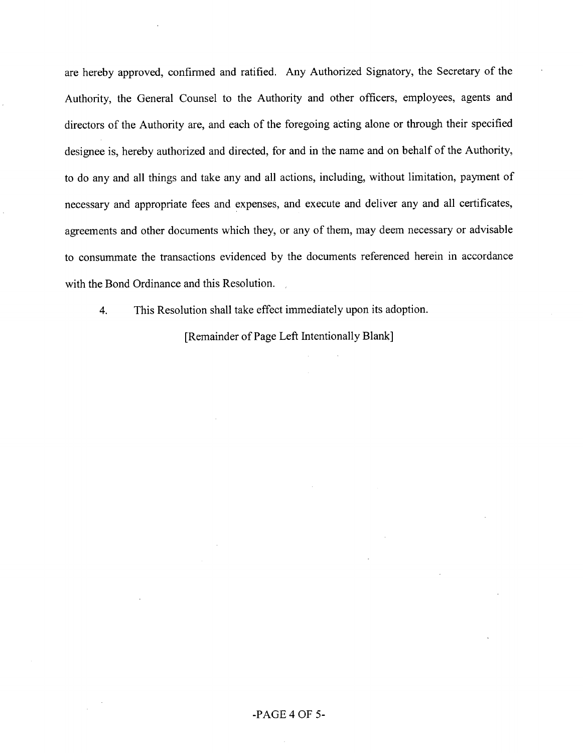are hereby approved, confirmed and ratified. Any Authorized Signatory, the Secretary of the Authority, the General Counsel to the Authority and other officers, employees, agents and directors of the Authority are, and each of the foregoing acting alone or through their specified designee is, hereby authorized and directed, for and in the name and on behalf of the Authority, to do any and all things and take any and all actions, including, without limitation, payment of necessary and appropriate fees and expenses, and execute and deliver any and all certificates, agreements and other documents which they, or any of them, may deem necessary or advisable to consummate the transactions evidenced by the documents referenced herein in accordance with the Bond Ordinance and this Resolution.

4. This Resolution shall take effect immediately upon its adoption.

[Remainder of Page Left Intentionally Blank]